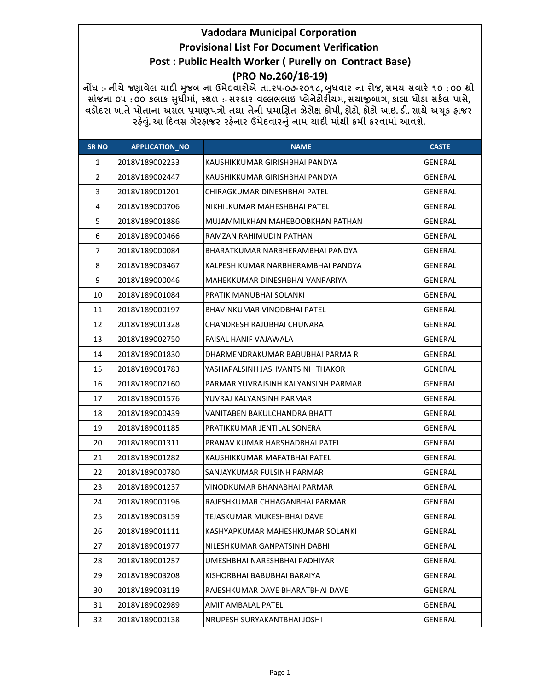નોંધ :- નીચે જણાવેલ ચાદી મુજબ ના ઉમેદવારોએ તા.૨૫-૦૭-૨૦૧૮, બુધવાર ના રોજ, સમય સવારે ૧૦ : ૦૦ થી સાંજના ૦૫ : ૦૦ કલાક સુધીમાં, સ્થળ :- સરદાર વલ્લભભાઇ પ્લેનેટોરીયમ, સચાજીબાગ, કાલા ધોડા સર્કલ પાસે, વડોદરા ખાતે પોતાના અસલ પ્રમાણપત્રો તથા તેની પ્રમાણિત ઝેરોક્ષ કોપી, ફોટો, ફોટો આઇ. ડી. સાથે અચૂક હ્રાજર રહેવું. આ દિવસ ગેરહ્રાજર રહેનાર ઉમેદવારનું નામ ચાદી માંથી કમી કરવામાં આવશે.

| <b>SR NO</b>   | <b>APPLICATION_NO</b> | <b>NAME</b>                         | <b>CASTE</b>   |
|----------------|-----------------------|-------------------------------------|----------------|
| $\mathbf{1}$   | 2018V189002233        | KAUSHIKKUMAR GIRISHBHAI PANDYA      | <b>GENERAL</b> |
| $\overline{2}$ | 2018V189002447        | KAUSHIKKUMAR GIRISHBHAI PANDYA      | GENERAL        |
| 3              | 2018V189001201        | CHIRAGKUMAR DINESHBHAI PATEL        | <b>GENERAL</b> |
| 4              | 2018V189000706        | NIKHILKUMAR MAHESHBHAI PATEL        | <b>GENERAL</b> |
| 5              | 2018V189001886        | MUJAMMILKHAN MAHEBOOBKHAN PATHAN    | GENERAL        |
| 6              | 2018V189000466        | RAMZAN RAHIMUDIN PATHAN             | GENERAL        |
| $\overline{7}$ | 2018V189000084        | BHARATKUMAR NARBHERAMBHAI PANDYA    | <b>GENERAL</b> |
| 8              | 2018V189003467        | KALPESH KUMAR NARBHERAMBHAI PANDYA  | <b>GENERAL</b> |
| 9              | 2018V189000046        | MAHEKKUMAR DINESHBHAI VANPARIYA     | GENERAL        |
| 10             | 2018V189001084        | PRATIK MANUBHAI SOLANKI             | GENERAL        |
| 11             | 2018V189000197        | <b>BHAVINKUMAR VINODBHAI PATEL</b>  | <b>GENERAL</b> |
| 12             | 2018V189001328        | CHANDRESH RAJUBHAI CHUNARA          | GENERAL        |
| 13             | 2018V189002750        | FAISAL HANIF VAJAWALA               | <b>GENERAL</b> |
| 14             | 2018V189001830        | DHARMENDRAKUMAR BABUBHAI PARMA R    | <b>GENERAL</b> |
| 15             | 2018V189001783        | YASHAPALSINH JASHVANTSINH THAKOR    | <b>GENERAL</b> |
| 16             | 2018V189002160        | PARMAR YUVRAJSINH KALYANSINH PARMAR | GENERAL        |
| 17             | 2018V189001576        | YUVRAJ KALYANSINH PARMAR            | GENERAL        |
| 18             | 2018V189000439        | VANITABEN BAKULCHANDRA BHATT        | GENERAL        |
| 19             | 2018V189001185        | PRATIKKUMAR JENTILAL SONERA         | <b>GENERAL</b> |
| 20             | 2018V189001311        | PRANAV KUMAR HARSHADBHAI PATEL      | <b>GENERAL</b> |
| 21             | 2018V189001282        | KAUSHIKKUMAR MAFATBHAI PATEL        | GENERAL        |
| 22             | 2018V189000780        | SANJAYKUMAR FULSINH PARMAR          | GENERAL        |
| 23             | 2018V189001237        | VINODKUMAR BHANABHAI PARMAR         | GENERAL        |
| 24             | 2018V189000196        | RAJESHKUMAR CHHAGANBHAI PARMAR      | <b>GENERAL</b> |
| 25             | 2018V189003159        | TEJASKUMAR MUKESHBHAI DAVE          | <b>GENERAL</b> |
| 26             | 2018V189001111        | KASHYAPKUMAR MAHESHKUMAR SOLANKI    | <b>GENERAL</b> |
| 27             | 2018V189001977        | NILESHKUMAR GANPATSINH DABHI        | GENERAL        |
| 28             | 2018V189001257        | UMESHBHAI NARESHBHAI PADHIYAR       | GENERAL        |
| 29             | 2018V189003208        | KISHORBHAI BABUBHAI BARAIYA         | GENERAL        |
| 30             | 2018V189003119        | RAJESHKUMAR DAVE BHARATBHAI DAVE    | <b>GENERAL</b> |
| 31             | 2018V189002989        | AMIT AMBALAL PATEL                  | <b>GENERAL</b> |
| 32             | 2018V189000138        | NRUPESH SURYAKANTBHAI JOSHI         | GENERAL        |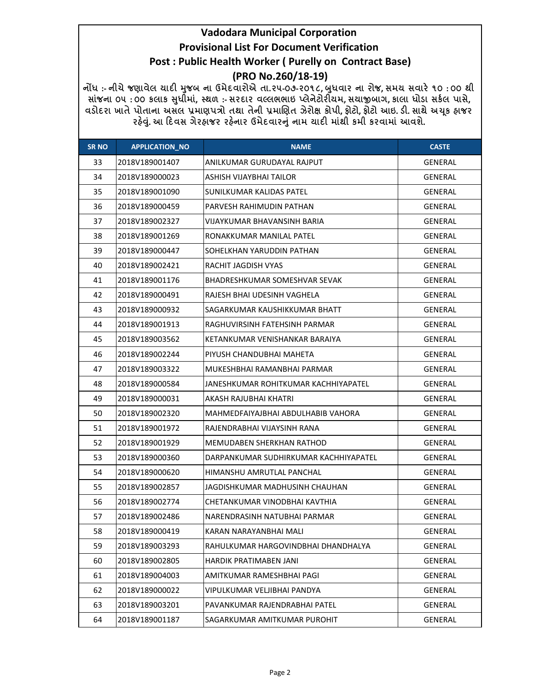નોંધ :- નીચે જણાવેલ ચાદી મુજબ ના ઉમેદવારોએ તા.૨૫-૦૭-૨૦૧૮, બુધવાર ના રોજ, સમચ સવારે ૧૦ : ૦૦ થી<br>સાંજના ૦૫ : ૦૦ કલાક સુધીમાં, સ્થળ :- સરદાર વલ્લભભાઇ પ્લેનેટોરીયમ, સચાજીબાગ, કાલા ધોડા સર્કલ પાસે, વડોદરા ખાતે પોતાના અસલ પ્રમાણપત્રો તથા તેની પ્રમાણિત ઝેરોક્ષ કોપી, ફોટો, ફોટો આઇ. ડી. સાથે અચૂક ફાજર રફેવું. આ દિવસ ગેરફાજર રફેનાર ઉમેદવારનું નામ ચાદી માંથી કમી કરવામાં આવશે.

| <b>SR NO</b> | <b>APPLICATION_NO</b> | <b>NAME</b>                           | <b>CASTE</b>   |
|--------------|-----------------------|---------------------------------------|----------------|
| 33           | 2018V189001407        | ANILKUMAR GURUDAYAL RAJPUT            | GENERAL        |
| 34           | 2018V189000023        | ASHISH VIJAYBHAI TAILOR               | <b>GENERAL</b> |
| 35           | 2018V189001090        | <b>SUNILKUMAR KALIDAS PATEL</b>       | GENERAL        |
| 36           | 2018V189000459        | PARVESH RAHIMUDIN PATHAN              | GENERAL        |
| 37           | 2018V189002327        | VIJAYKUMAR BHAVANSINH BARIA           | GENERAL        |
| 38           | 2018V189001269        | RONAKKUMAR MANILAL PATEL              | GENERAL        |
| 39           | 2018V189000447        | SOHELKHAN YARUDDIN PATHAN             | GENERAL        |
| 40           | 2018V189002421        | RACHIT JAGDISH VYAS                   | <b>GENERAL</b> |
| 41           | 2018V189001176        | <b>BHADRESHKUMAR SOMESHVAR SEVAK</b>  | <b>GENERAL</b> |
| 42           | 2018V189000491        | RAJESH BHAI UDESINH VAGHELA           | GENERAL        |
| 43           | 2018V189000932        | SAGARKUMAR KAUSHIKKUMAR BHATT         | GENERAL        |
| 44           | 2018V189001913        | RAGHUVIRSINH FATEHSINH PARMAR         | <b>GENERAL</b> |
| 45           | 2018V189003562        | KETANKUMAR VENISHANKAR BARAIYA        | GENERAL        |
| 46           | 2018V189002244        | PIYUSH CHANDUBHAI MAHETA              | <b>GENERAL</b> |
| 47           | 2018V189003322        | MUKESHBHAI RAMANBHAI PARMAR           | GENERAL        |
| 48           | 2018V189000584        | JANESHKUMAR ROHITKUMAR KACHHIYAPATEL  | <b>GENERAL</b> |
| 49           | 2018V189000031        | AKASH RAJUBHAI KHATRI                 | GENERAL        |
| 50           | 2018V189002320        | MAHMEDFAIYAJBHAI ABDULHABIB VAHORA    | GENERAL        |
| 51           | 2018V189001972        | RAJENDRABHAI VIJAYSINH RANA           | GENERAL        |
| 52           | 2018V189001929        | <b>MEMUDABEN SHERKHAN RATHOD</b>      | GENERAL        |
| 53           | 2018V189000360        | DARPANKUMAR SUDHIRKUMAR KACHHIYAPATEL | GENERAL        |
| 54           | 2018V189000620        | HIMANSHU AMRUTLAL PANCHAL             | GENERAL        |
| 55           | 2018V189002857        | JAGDISHKUMAR MADHUSINH CHAUHAN        | GENERAL        |
| 56           | 2018V189002774        | CHETANKUMAR VINODBHAI KAVTHIA         | <b>GENERAL</b> |
| 57           | 2018V189002486        | NARENDRASINH NATUBHAI PARMAR          | <b>GENERAL</b> |
| 58           | 2018V189000419        | KARAN NARAYANBHAI MALI                | GENERAL        |
| 59           | 2018V189003293        | RAHULKUMAR HARGOVINDBHAI DHANDHALYA   | <b>GENERAL</b> |
| 60           | 2018V189002805        | HARDIK PRATIMABEN JANI                | <b>GENERAL</b> |
| 61           | 2018V189004003        | AMITKUMAR RAMESHBHAI PAGI             | <b>GENERAL</b> |
| 62           | 2018V189000022        | VIPULKUMAR VELJIBHAI PANDYA           | GENERAL        |
| 63           | 2018V189003201        | PAVANKUMAR RAJENDRABHAI PATEL         | GENERAL        |
| 64           | 2018V189001187        | SAGARKUMAR AMITKUMAR PUROHIT          | GENERAL        |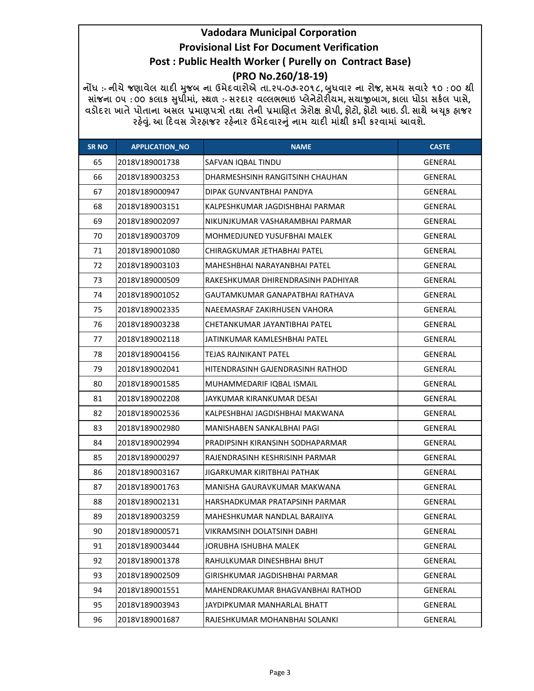નોંધ :- નીચે જણાવેલ ચાદી મુજબ ના ઉમેદવારોએ તા.૨૫-૦૭-૨૦૧૮, બુધવાર ના રોજ, સમચ સવારે ૧૦ : ૦૦ થી<br>સાંજના ૦૫ : ૦૦ કલાક સુધીમાં, સ્થળ :- સરદાર વલ્લભભાઇ પ્લેનેટોરીયમ, સચાજીબાગ, કાલા ધોડા સર્કલ પાસે, વડોદરા ખાતે પોતાના અસલ પ્રમાણપત્રો તથા તેની પ્રમાણિત ઝેરોક્ષ કોપી, ફોટો, ફોટો આઇ. ડી. સાથે અચૂક ફાજર રફેવું. આ દિવસ ગેરફાજર રફેનાર ઉમેદવારનું નામ ચાદી માંથી કમી કરવામાં આવશે.

| <b>SR NO</b> | <b>APPLICATION_NO</b> | <b>NAME</b>                        | <b>CASTE</b>   |
|--------------|-----------------------|------------------------------------|----------------|
| 65           | 2018V189001738        | <b>SAFVAN IQBAL TINDU</b>          | <b>GENERAL</b> |
| 66           | 2018V189003253        | DHARMESHSINH RANGITSINH CHAUHAN    | GENERAL        |
| 67           | 2018V189000947        | DIPAK GUNVANTBHAI PANDYA           | <b>GENERAL</b> |
| 68           | 2018V189003151        | KALPESHKUMAR JAGDISHBHAI PARMAR    | GENERAL        |
| 69           | 2018V189002097        | NIKUNJKUMAR VASHARAMBHAI PARMAR    | GENERAL        |
| 70           | 2018V189003709        | <b>MOHMEDJUNED YUSUFBHAI MALEK</b> | <b>GENERAL</b> |
| 71           | 2018V189001080        | CHIRAGKUMAR JETHABHAI PATEL        | GENERAL        |
| 72           | 2018V189003103        | MAHESHBHAI NARAYANBHAI PATEL       | GENERAL        |
| 73           | 2018V189000509        | RAKESHKUMAR DHIRENDRASINH PADHIYAR | GENERAL        |
| 74           | 2018V189001052        | GAUTAMKUMAR GANAPATBHAI RATHAVA    | GENERAL        |
| 75           | 2018V189002335        | NAEEMASRAF ZAKIRHUSEN VAHORA       | GENERAL        |
| 76           | 2018V189003238        | CHETANKUMAR JAYANTIBHAI PATEL      | GENERAL        |
| 77           | 2018V189002118        | JATINKUMAR KAMLESHBHAI PATEL       | GENERAL        |
| 78           | 2018V189004156        | TEJAS RAJNIKANT PATEL              | GENERAL        |
| 79           | 2018V189002041        | HITENDRASINH GAJENDRASINH RATHOD   | GENERAL        |
| 80           | 2018V189001585        | MUHAMMEDARIF IQBAL ISMAIL          | GENERAL        |
| 81           | 2018V189002208        | JAYKUMAR KIRANKUMAR DESAI          | GENERAL        |
| 82           | 2018V189002536        | KALPESHBHAI JAGDISHBHAI MAKWANA    | GENERAL        |
| 83           | 2018V189002980        | MANISHABEN SANKALBHAI PAGI         | <b>GENERAL</b> |
| 84           | 2018V189002994        | PRADIPSINH KIRANSINH SODHAPARMAR   | GENERAL        |
| 85           | 2018V189000297        | RAJENDRASINH KESHRISINH PARMAR     | GENERAL        |
| 86           | 2018V189003167        | JIGARKUMAR KIRITBHAI PATHAK        | GENERAL        |
| 87           | 2018V189001763        | MANISHA GAURAVKUMAR MAKWANA        | GENERAL        |
| 88           | 2018V189002131        | HARSHADKUMAR PRATAPSINH PARMAR     | GENERAL        |
| 89           | 2018V189003259        | MAHESHKUMAR NANDLAL BARAIIYA       | <b>GENERAL</b> |
| 90           | 2018V189000571        | VIKRAMSINH DOLATSINH DABHI         | <b>GENERAL</b> |
| 91           | 2018V189003444        | JORUBHA ISHUBHA MALEK              | GENERAL        |
| 92           | 2018V189001378        | RAHULKUMAR DINESHBHAI BHUT         | GENERAL        |
| 93           | 2018V189002509        | GIRISHKUMAR JAGDISHBHAI PARMAR     | GENERAL        |
| 94           | 2018V189001551        | MAHENDRAKUMAR BHAGVANBHAI RATHOD   | GENERAL        |
| 95           | 2018V189003943        | JAYDIPKUMAR MANHARLAL BHATT        | GENERAL        |
| 96           | 2018V189001687        | RAJESHKUMAR MOHANBHAI SOLANKI      | GENERAL        |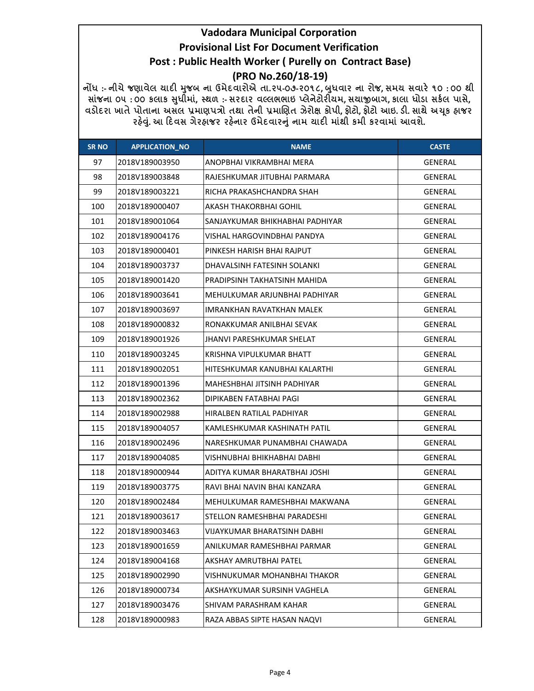નોંધ :- નીચે જણાવેલ ચાદી મુજબ ના ઉમેદવારોએ તા.૨૫-૦૭-૨૦૧૮, બુધવાર ના રોજ, સમચ સવારે ૧૦ : ૦૦ થી<br>સાંજના ૦૫ : ૦૦ કલાક સુધીમાં, સ્થળ :- સરદાર વલ્લભભાઇ પ્લેનેટોરીયમ, સચાજીબાગ, કાલા ધોડા સર્કલ પાસે, વડોદરા ખાતે પોતાના અસલ પ્રમાણપત્રો તથા તેની પ્રમાણિત ઝેરોક્ષ કોપી, ફોટો, ફોટો આઇ. ડી. સાથે અચૂક ફાજર રફેવું. આ દિવસ ગેરફાજર રફેનાર ઉમેદવારનું નામ ચાદી માંથી કમી કરવામાં આવશે.

| <b>SR NO</b> | <b>APPLICATION_NO</b> | <b>NAME</b>                      | <b>CASTE</b>   |
|--------------|-----------------------|----------------------------------|----------------|
| 97           | 2018V189003950        | ANOPBHAI VIKRAMBHAI MERA         | <b>GENERAL</b> |
| 98           | 2018V189003848        | RAJESHKUMAR JITUBHAI PARMARA     | GENERAL        |
| 99           | 2018V189003221        | RICHA PRAKASHCHANDRA SHAH        | <b>GENERAL</b> |
| 100          | 2018V189000407        | AKASH THAKORBHAI GOHIL           | GENERAL        |
| 101          | 2018V189001064        | SANJAYKUMAR BHIKHABHAI PADHIYAR  | GENERAL        |
| 102          | 2018V189004176        | VISHAL HARGOVINDBHAI PANDYA      | GENERAL        |
| 103          | 2018V189000401        | PINKESH HARISH BHAI RAJPUT       | GENERAL        |
| 104          | 2018V189003737        | DHAVALSINH FATESINH SOLANKI      | GENERAL        |
| 105          | 2018V189001420        | PRADIPSINH TAKHATSINH MAHIDA     | GENERAL        |
| 106          | 2018V189003641        | MEHULKUMAR ARJUNBHAI PADHIYAR    | GENERAL        |
| 107          | 2018V189003697        | <b>IMRANKHAN RAVATKHAN MALEK</b> | GENERAL        |
| 108          | 2018V189000832        | RONAKKUMAR ANILBHAI SEVAK        | GENERAL        |
| 109          | 2018V189001926        | <b>JHANVI PARESHKUMAR SHELAT</b> | GENERAL        |
| 110          | 2018V189003245        | KRISHNA VIPULKUMAR BHATT         | <b>GENERAL</b> |
| 111          | 2018V189002051        | HITESHKUMAR KANUBHAI KALARTHI    | GENERAL        |
| 112          | 2018V189001396        | MAHESHBHAI JITSINH PADHIYAR      | GENERAL        |
| 113          | 2018V189002362        | DIPIKABEN FATABHAI PAGI          | GENERAL        |
| 114          | 2018V189002988        | HIRALBEN RATILAL PADHIYAR        | GENERAL        |
| 115          | 2018V189004057        | KAMLESHKUMAR KASHINATH PATIL     | <b>GENERAL</b> |
| 116          | 2018V189002496        | NARESHKUMAR PUNAMBHAI CHAWADA    | GENERAL        |
| 117          | 2018V189004085        | VISHNUBHAI BHIKHABHAI DABHI      | GENERAL        |
| 118          | 2018V189000944        | ADITYA KUMAR BHARATBHAI JOSHI    | GENERAL        |
| 119          | 2018V189003775        | RAVI BHAI NAVIN BHAI KANZARA     | GENERAL        |
| 120          | 2018V189002484        | MEHULKUMAR RAMESHBHAI MAKWANA    | GENERAL        |
| 121          | 2018V189003617        | STELLON RAMESHBHAI PARADESHI     | <b>GENERAL</b> |
| 122          | 2018V189003463        | VIJAYKUMAR BHARATSINH DABHI      | <b>GENERAL</b> |
| 123          | 2018V189001659        | ANILKUMAR RAMESHBHAI PARMAR      | GENERAL        |
| 124          | 2018V189004168        | AKSHAY AMRUTBHAI PATEL           | GENERAL        |
| 125          | 2018V189002990        | VISHNUKUMAR MOHANBHAI THAKOR     | GENERAL        |
| 126          | 2018V189000734        | AKSHAYKUMAR SURSINH VAGHELA      | GENERAL        |
| 127          | 2018V189003476        | SHIVAM PARASHRAM KAHAR           | GENERAL        |
| 128          | 2018V189000983        | RAZA ABBAS SIPTE HASAN NAQVI     | GENERAL        |